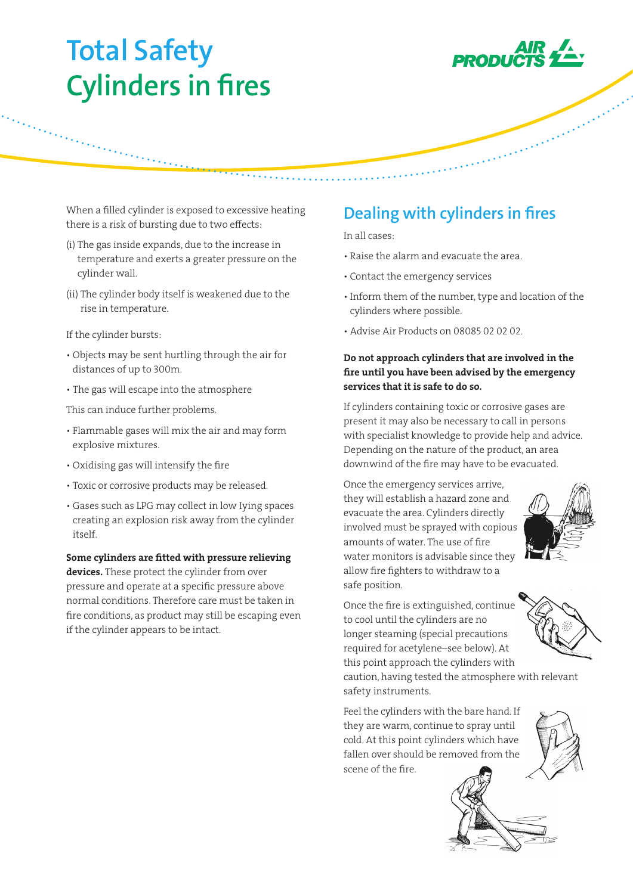# **Total Safety Cylinders in fires**



and the company of the company of the company of the company of the company of

When a filled cylinder is exposed to excessive heating there is a risk of bursting due to two effects:

- (i) The gas inside expands, due to the increase in temperature and exerts a greater pressure on the cylinder wall.
- (ii) The cylinder body itself is weakened due to the rise in temperature.

If the cylinder bursts:

- Objects may be sent hurtling through the air for distances of up to 300m.
- The gas will escape into the atmosphere

This can induce further problems.

- Flammable gases will mix the air and may form explosive mixtures.
- Oxidising gas will intensify the fire
- Toxic or corrosive products may be released.
- Gases such as LPG may collect in low Iying spaces creating an explosion risk away from the cylinder itself.

Some cylinders are fitted with pressure relieving devices. These protect the cylinder from over pressure and operate at a specific pressure above normal conditions. Therefore care must be taken in fire conditions, as product may still be escaping even if the cylinder appears to be intact.

## **Dealing with cylinders in fires**

In all cases:

- Raise the alarm and evacuate the area.
- Contact the emergency services
- Inform them of the number, type and location of the cylinders where possible.
- Advise Air Products on 08085 02 02 02.

#### Do not approach cylinders that are involved in the fire until you have been advised by the emergency services that it is safe to do so.

If cylinders containing toxic or corrosive gases are present it may also be necessary to call in persons with specialist knowledge to provide help and advice. Depending on the nature of the product, an area downwind of the fire may have to be evacuated.

Once the emergency services arrive, they will establish a hazard zone and evacuate the area. Cylinders directly involved must be sprayed with copious amounts of water. The use of fire water monitors is advisable since they allow fire fighters to withdraw to a safe position.



Once the fire is extinguished, continue to cool until the cylinders are no longer steaming (special precautions required for acetylene–see below). At this point approach the cylinders with

caution, having tested the atmosphere with relevant safety instruments.

Feel the cylinders with the bare hand. If they are warm, continue to spray until cold. At this point cylinders which have fallen over should be removed from the scene of the fire.



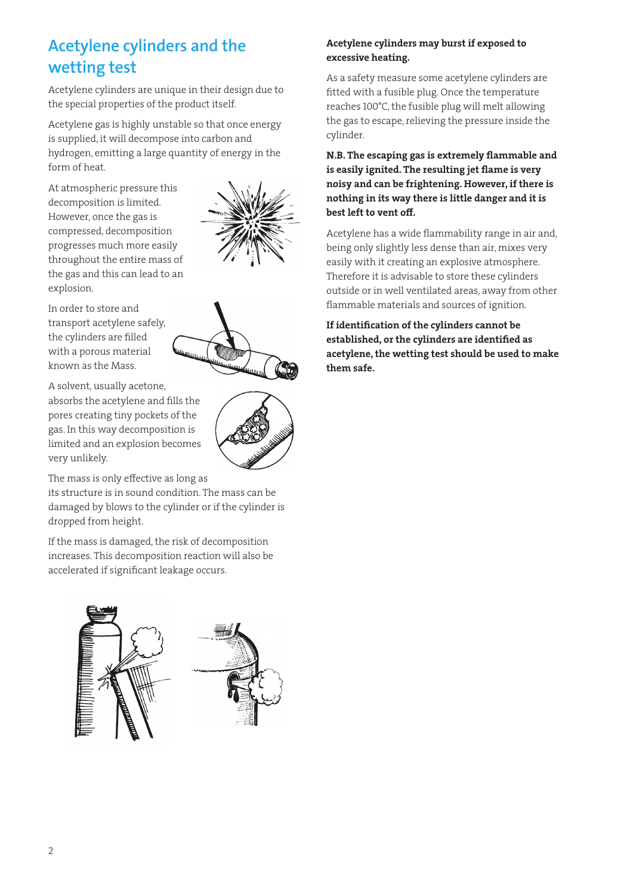# **Acetylene cylinders and the wetting test**

Acetylene cylinders are unique in their design due to the special properties of the product itself.

Acetylene gas is highly unstable so that once energy is supplied, it will decompose into carbon and hydrogen, emitting a large quantity of energy in the form of heat.

At atmospheric pressure this decomposition is limited. However, once the gas is compressed, decomposition progresses much more easily throughout the entire mass of the gas and this can lead to an explosion.



In order to store and transport acetylene safely, the cylinders are filled with a porous material known as the Mass.

A solvent, usually acetone, absorbs the acetylene and fills the pores creating tiny pockets of the gas. In this way decomposition is limited and an explosion becomes very unlikely.



its structure is in sound condition. The mass can be damaged by blows to the cylinder or if the cylinder is dropped from height.

If the mass is damaged, the risk of decomposition increases. This decomposition reaction will also be accelerated if significant leakage occurs.



## Acetylene cylinders may burst if exposed to excessive heating.

As a safety measure some acetylene cylinders are fitted with a fusible plug. Once the temperature reaches 100°C, the fusible plug will melt allowing the gas to escape, relieving the pressure inside the cylinder.

### N.B. The escaping gas is extremely flammable and is easily ignited. The resulting jet flame is very noisy and can be frightening. However, if there is nothing in its way there is little danger and it is best left to vent off.

Acetylene has a wide flammability range in air and, being only slightly less dense than air, mixes very easily with it creating an explosive atmosphere. Therefore it is advisable to store these cylinders outside or in well ventilated areas, away from other flammable materials and sources of ignition.

If identification of the cylinders cannot be established, or the cylinders are identified as acetylene, the wetting test should be used to make them safe.

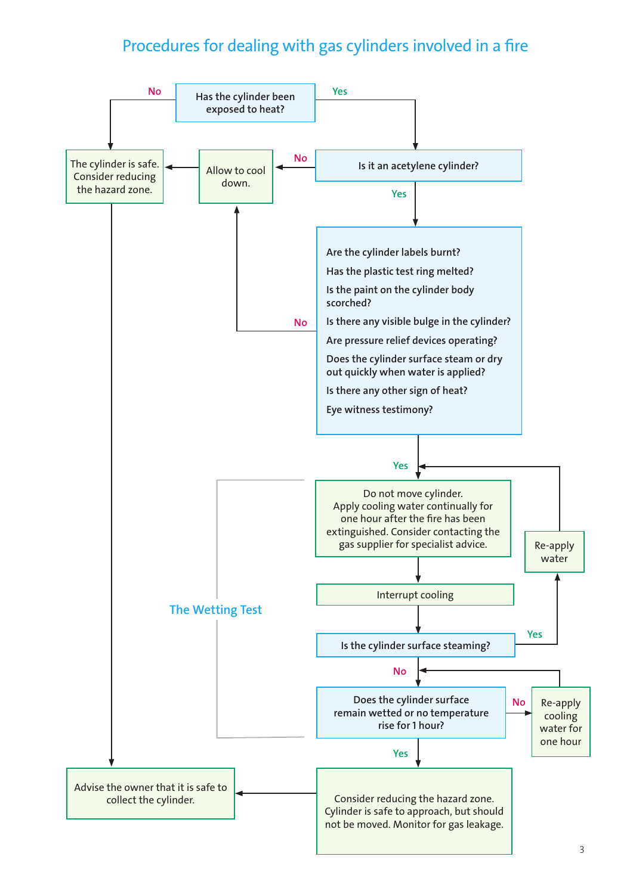# Procedures for dealing with gas cylinders involved in a fire